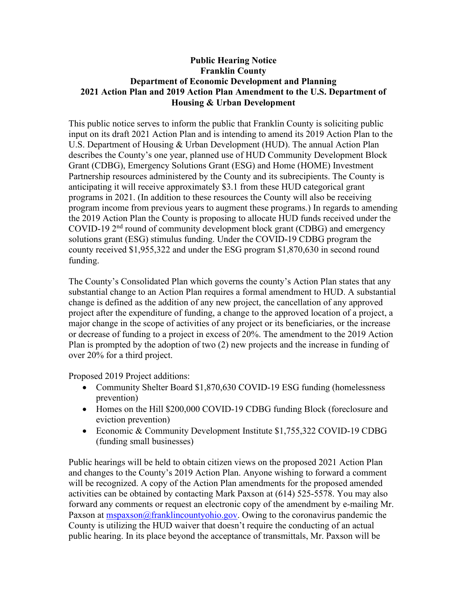## **Public Hearing Notice Franklin County Department of Economic Development and Planning 2021 Action Plan and 2019 Action Plan Amendment to the U.S. Department of Housing & Urban Development**

This public notice serves to inform the public that Franklin County is soliciting public input on its draft 2021 Action Plan and is intending to amend its 2019 Action Plan to the U.S. Department of Housing & Urban Development (HUD). The annual Action Plan describes the County's one year, planned use of HUD Community Development Block Grant (CDBG), Emergency Solutions Grant (ESG) and Home (HOME) Investment Partnership resources administered by the County and its subrecipients. The County is anticipating it will receive approximately \$3.1 from these HUD categorical grant programs in 2021. (In addition to these resources the County will also be receiving program income from previous years to augment these programs.) In regards to amending the 2019 Action Plan the County is proposing to allocate HUD funds received under the COVID-19 2<sup>nd</sup> round of community development block grant (CDBG) and emergency solutions grant (ESG) stimulus funding. Under the COVID-19 CDBG program the county received \$1,955,322 and under the ESG program \$1,870,630 in second round funding.

The County's Consolidated Plan which governs the county's Action Plan states that any substantial change to an Action Plan requires a formal amendment to HUD. A substantial change is defined as the addition of any new project, the cancellation of any approved project after the expenditure of funding, a change to the approved location of a project, a major change in the scope of activities of any project or its beneficiaries, or the increase or decrease of funding to a project in excess of 20%. The amendment to the 2019 Action Plan is prompted by the adoption of two (2) new projects and the increase in funding of over 20% for a third project.

Proposed 2019 Project additions:

- Community Shelter Board \$1,870,630 COVID-19 ESG funding (homelessness prevention)
- Homes on the Hill \$200,000 COVID-19 CDBG funding Block (foreclosure and eviction prevention)
- Economic & Community Development Institute \$1,755,322 COVID-19 CDBG (funding small businesses)

Public hearings will be held to obtain citizen views on the proposed 2021 Action Plan and changes to the County's 2019 Action Plan. Anyone wishing to forward a comment will be recognized. A copy of the Action Plan amendments for the proposed amended activities can be obtained by contacting Mark Paxson at (614) 525-5578. You may also forward any comments or request an electronic copy of the amendment by e-mailing Mr. Paxson at  $m$ spaxson $@$ franklincountyohio.gov. Owing to the coronavirus pandemic the County is utilizing the HUD waiver that doesn't require the conducting of an actual public hearing. In its place beyond the acceptance of transmittals, Mr. Paxson will be